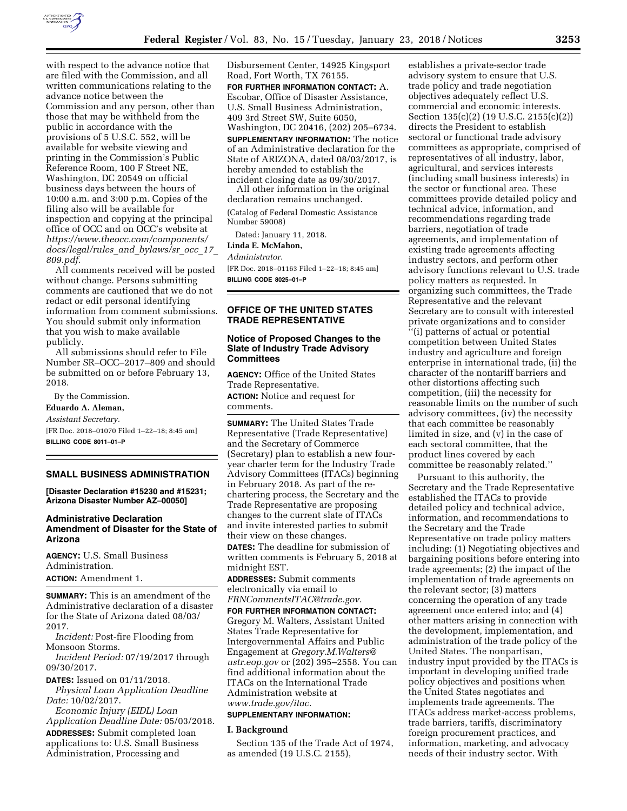

with respect to the advance notice that are filed with the Commission, and all written communications relating to the advance notice between the Commission and any person, other than those that may be withheld from the public in accordance with the provisions of 5 U.S.C. 552, will be available for website viewing and printing in the Commission's Public Reference Room, 100 F Street NE, Washington, DC 20549 on official business days between the hours of 10:00 a.m. and 3:00 p.m. Copies of the filing also will be available for inspection and copying at the principal office of OCC and on OCC's website at *[https://www.theocc.com/components/](https://www.theocc.com/components/docs/legal/rules_and_bylaws/sr_occ_17_809.pdf) [docs/legal/rules](https://www.theocc.com/components/docs/legal/rules_and_bylaws/sr_occ_17_809.pdf)*\_*and*\_*bylaws/sr*\_*occ*\_*17*\_ *[809.pdf.](https://www.theocc.com/components/docs/legal/rules_and_bylaws/sr_occ_17_809.pdf)* 

All comments received will be posted without change. Persons submitting comments are cautioned that we do not redact or edit personal identifying information from comment submissions. You should submit only information that you wish to make available publicly.

All submissions should refer to File Number SR–OCC–2017–809 and should be submitted on or before February 13, 2018.

By the Commission.

### **Eduardo A. Aleman,**

*Assistant Secretary.*  [FR Doc. 2018–01070 Filed 1–22–18; 8:45 am]

**BILLING CODE 8011–01–P** 

### **SMALL BUSINESS ADMINISTRATION**

**[Disaster Declaration #15230 and #15231; Arizona Disaster Number AZ–00050]** 

# **Administrative Declaration Amendment of Disaster for the State of Arizona**

**AGENCY:** U.S. Small Business Administration. **ACTION:** Amendment 1.

**SUMMARY:** This is an amendment of the Administrative declaration of a disaster for the State of Arizona dated 08/03/ 2017.

*Incident:* Post-fire Flooding from Monsoon Storms.

*Incident Period:* 07/19/2017 through 09/30/2017.

**DATES:** Issued on 01/11/2018.

*Physical Loan Application Deadline Date:* 10/02/2017.

*Economic Injury (EIDL) Loan Application Deadline Date:* 05/03/2018. **ADDRESSES:** Submit completed loan applications to: U.S. Small Business Administration, Processing and

Disbursement Center, 14925 Kingsport Road, Fort Worth, TX 76155. **FOR FURTHER INFORMATION CONTACT:** A. Escobar, Office of Disaster Assistance, U.S. Small Business Administration, 409 3rd Street SW, Suite 6050, Washington, DC 20416, (202) 205–6734. **SUPPLEMENTARY INFORMATION:** The notice of an Administrative declaration for the State of ARIZONA, dated 08/03/2017, is hereby amended to establish the incident closing date as 09/30/2017.

All other information in the original declaration remains unchanged.

(Catalog of Federal Domestic Assistance Number 59008)

Dated: January 11, 2018.

**Linda E. McMahon,** 

*Administrator.* 

[FR Doc. 2018–01163 Filed 1–22–18; 8:45 am] **BILLING CODE 8025–01–P** 

# **OFFICE OF THE UNITED STATES TRADE REPRESENTATIVE**

## **Notice of Proposed Changes to the Slate of Industry Trade Advisory Committees**

**AGENCY:** Office of the United States Trade Representative.

**ACTION:** Notice and request for comments.

**SUMMARY:** The United States Trade Representative (Trade Representative) and the Secretary of Commerce (Secretary) plan to establish a new fouryear charter term for the Industry Trade Advisory Committees (ITACs) beginning in February 2018. As part of the rechartering process, the Secretary and the Trade Representative are proposing changes to the current slate of ITACs and invite interested parties to submit their view on these changes.

**DATES:** The deadline for submission of written comments is February 5, 2018 at midnight EST.

**ADDRESSES:** Submit comments electronically via email to *[FRNCommentsITAC@trade.gov.](mailto:FRNCommentsITAC@trade.gov)* 

**FOR FURTHER INFORMATION CONTACT:**  Gregory M. Walters, Assistant United States Trade Representative for Intergovernmental Affairs and Public Engagement at *[Gregory.M.Walters@](mailto:Gregory.M.Walters@ustr.eop.gov) [ustr.eop.gov](mailto:Gregory.M.Walters@ustr.eop.gov)* or (202) 395–2558. You can find additional information about the ITACs on the International Trade Administration website at *[www.trade.gov/itac.](http://www.trade.gov/itac)* 

#### **SUPPLEMENTARY INFORMATION:**

### **I. Background**

Section 135 of the Trade Act of 1974, as amended (19 U.S.C. 2155),

establishes a private-sector trade advisory system to ensure that U.S. trade policy and trade negotiation objectives adequately reflect U.S. commercial and economic interests. Section 135(c)(2) (19 U.S.C. 2155(c)(2)) directs the President to establish sectoral or functional trade advisory committees as appropriate, comprised of representatives of all industry, labor, agricultural, and services interests (including small business interests) in the sector or functional area. These committees provide detailed policy and technical advice, information, and recommendations regarding trade barriers, negotiation of trade agreements, and implementation of existing trade agreements affecting industry sectors, and perform other advisory functions relevant to U.S. trade policy matters as requested. In organizing such committees, the Trade Representative and the relevant Secretary are to consult with interested private organizations and to consider ''(i) patterns of actual or potential competition between United States industry and agriculture and foreign enterprise in international trade, (ii) the character of the nontariff barriers and other distortions affecting such competition, (iii) the necessity for reasonable limits on the number of such advisory committees, (iv) the necessity that each committee be reasonably limited in size, and (v) in the case of each sectoral committee, that the product lines covered by each committee be reasonably related.''

Pursuant to this authority, the Secretary and the Trade Representative established the ITACs to provide detailed policy and technical advice, information, and recommendations to the Secretary and the Trade Representative on trade policy matters including: (1) Negotiating objectives and bargaining positions before entering into trade agreements; (2) the impact of the implementation of trade agreements on the relevant sector; (3) matters concerning the operation of any trade agreement once entered into; and (4) other matters arising in connection with the development, implementation, and administration of the trade policy of the United States. The nonpartisan, industry input provided by the ITACs is important in developing unified trade policy objectives and positions when the United States negotiates and implements trade agreements. The ITACs address market-access problems, trade barriers, tariffs, discriminatory foreign procurement practices, and information, marketing, and advocacy needs of their industry sector. With